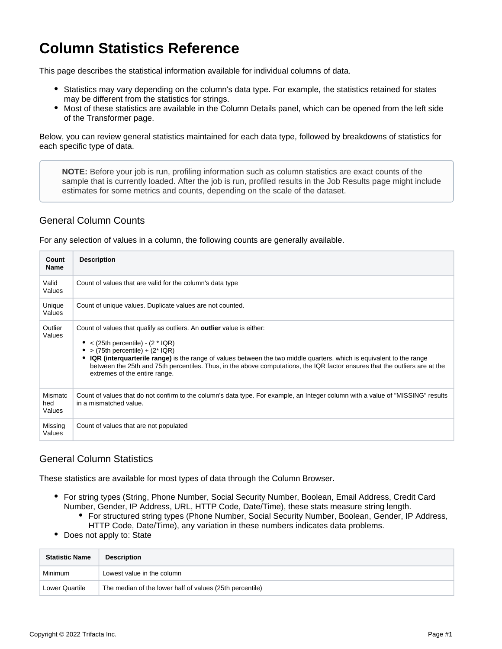## **Column Statistics Reference**

This page describes the statistical information available for individual columns of data.

- Statistics may vary depending on the column's data type. For example, the statistics retained for states may be different from the statistics for strings.
- Most of these statistics are available in the Column Details panel, which can be opened from the left side of the Transformer page.

Below, you can review general statistics maintained for each data type, followed by breakdowns of statistics for each specific type of data.

**NOTE:** Before your job is run, profiling information such as column statistics are exact counts of the sample that is currently loaded. After the job is run, profiled results in the Job Results page might include estimates for some metrics and counts, depending on the scale of the dataset.

## General Column Counts

For any selection of values in a column, the following counts are generally available.

| Count<br><b>Name</b>     | <b>Description</b>                                                                                                                                                                                                                                                                                                                                                                                                                                        |
|--------------------------|-----------------------------------------------------------------------------------------------------------------------------------------------------------------------------------------------------------------------------------------------------------------------------------------------------------------------------------------------------------------------------------------------------------------------------------------------------------|
| Valid<br>Values          | Count of values that are valid for the column's data type                                                                                                                                                                                                                                                                                                                                                                                                 |
| Unique<br>Values         | Count of unique values. Duplicate values are not counted.                                                                                                                                                                                                                                                                                                                                                                                                 |
| Outlier<br>Values        | Count of values that qualify as outliers. An <b>outlier</b> value is either:<br>$<$ (25th percentile) - (2 $*$ IQR)<br>• > (75th percentile) + $(2^*$ IQR)<br><b>IQR</b> (interquarterile range) is the range of values between the two middle quarters, which is equivalent to the range<br>between the 25th and 75th percentiles. Thus, in the above computations, the IQR factor ensures that the outliers are at the<br>extremes of the entire range. |
| Mismatc<br>hed<br>Values | Count of values that do not confirm to the column's data type. For example, an Integer column with a value of "MISSING" results<br>in a mismatched value.                                                                                                                                                                                                                                                                                                 |
| Missing<br>Values        | Count of values that are not populated                                                                                                                                                                                                                                                                                                                                                                                                                    |

## General Column Statistics

These statistics are available for most types of data through the Column Browser.

- For string types (String, Phone Number, Social Security Number, Boolean, Email Address, Credit Card Number, Gender, IP Address, URL, HTTP Code, Date/Time), these stats measure string length.
	- For structured string types (Phone Number, Social Security Number, Boolean, Gender, IP Address, HTTP Code, Date/Time), any variation in these numbers indicates data problems.
- Does not apply to: State

| <b>Statistic Name</b> | <b>Description</b>                                       |
|-----------------------|----------------------------------------------------------|
| <b>Minimum</b>        | Lowest value in the column                               |
| Lower Quartile        | The median of the lower half of values (25th percentile) |